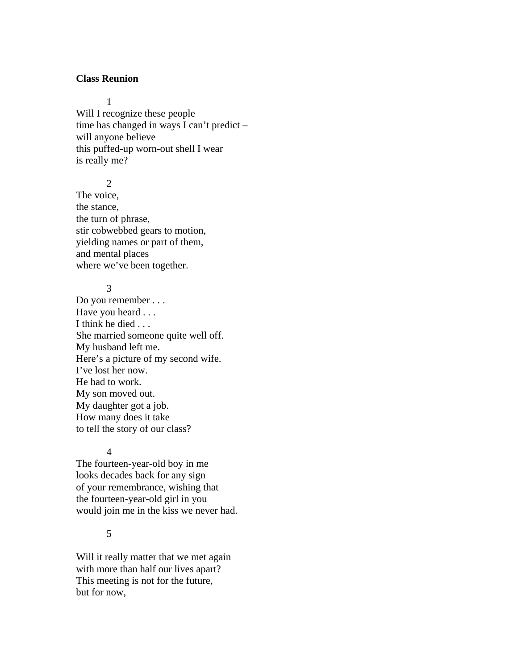## **Class Reunion**

1

Will I recognize these people time has changed in ways I can't predict – will anyone believe this puffed-up worn-out shell I wear is really me?

2

The voice, the stance, the turn of phrase, stir cobwebbed gears to motion, yielding names or part of them, and mental places where we've been together.

## 3

Do you remember . . . Have you heard . . . I think he died . . . She married someone quite well off. My husband left me. Here's a picture of my second wife. I've lost her now. He had to work. My son moved out. My daughter got a job. How many does it take to tell the story of our class?

#### 4

The fourteen-year-old boy in me looks decades back for any sign of your remembrance, wishing that the fourteen-year-old girl in you would join me in the kiss we never had.

# 5

Will it really matter that we met again with more than half our lives apart? This meeting is not for the future, but for now,